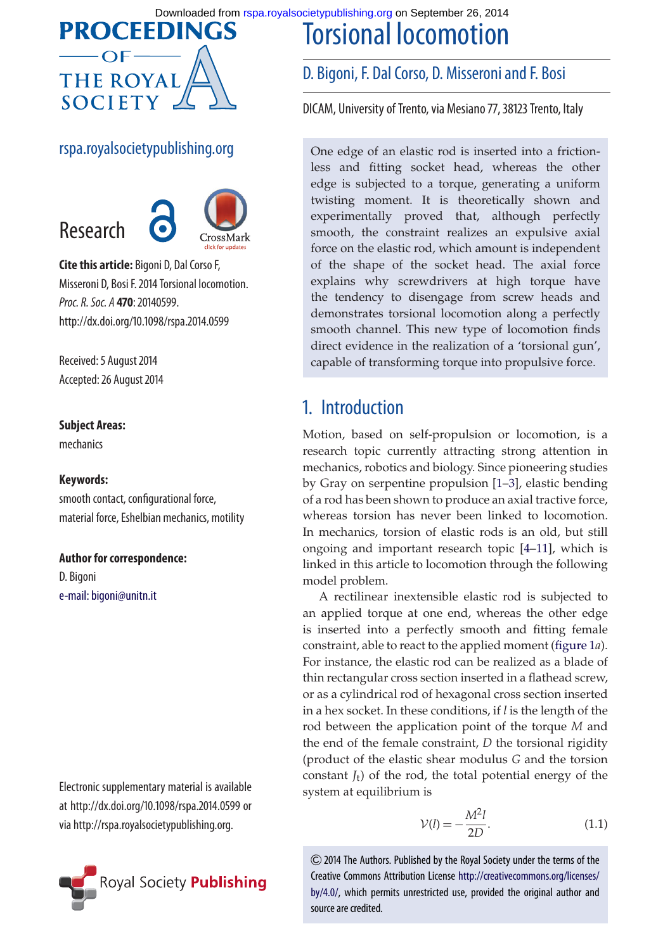Downloaded from [rspa.royalsocietypublishing.org](http://rspa.royalsocietypublishing.org/) on September 26, 2014

# **PROCEEDINGS THE ROYAL SOCIETY**

#### rspa.royalsocietypublishing.org



**Cite this article:** Bigoni D, Dal Corso F, Misseroni D, Bosi F. 2014 Torsional locomotion. *Proc. R. Soc. A* **470**: 20140599. http://dx.doi.org/10.1098/rspa.2014.0599

Received: 5 August 2014 Accepted: 26 August 2014

#### **Subject Areas:**

mechanics

#### **Keywords:**

smooth contact, configurational force, material force, Eshelbian mechanics, motility

#### **Author for correspondence:**

D. Bigoni [e-mail: bigoni@unitn.it](mailto:bigoni@unitn.it)

Electronic supplementary material is available at http://dx.doi.org/10.1098/rspa.2014.0599 or via http://rspa.royalsocietypublishing.org.



### D. Bigoni, F. Dal Corso, D. Misseroni and F. Bosi

Torsional locomotion

DICAM, University of Trento, via Mesiano 77, 38123 Trento, Italy

One edge of an elastic rod is inserted into a frictionless and fitting socket head, whereas the other edge is subjected to a torque, generating a uniform twisting moment. It is theoretically shown and experimentally proved that, although perfectly smooth, the constraint realizes an expulsive axial force on the elastic rod, which amount is independent of the shape of the socket head. The axial force explains why screwdrivers at high torque have the tendency to disengage from screw heads and demonstrates torsional locomotion along a perfectly smooth channel. This new type of locomotion finds direct evidence in the realization of a 'torsional gun', capable of transforming torque into propulsive force.

## 1. Introduction

Motion, based on self-propulsion or locomotion, is a research topic currently attracting strong attention in mechanics, robotics and biology. Since pioneering studies by Gray on serpentine propulsion [\[1–](#page-7-0)[3\]](#page-7-1), elastic bending of a rod has been shown to produce an axial tractive force, whereas torsion has never been linked to locomotion. In mechanics, torsion of elastic rods is an old, but still ongoing and important research topic [\[4](#page-7-2)[–11\]](#page-7-3), which is linked in this article to locomotion through the following model problem.

A rectilinear inextensible elastic rod is subjected to an applied torque at one end, whereas the other edge is inserted into a perfectly smooth and fitting female constraint, able to react to the applied moment [\(figure 1](#page-2-0)*a*). For instance, the elastic rod can be realized as a blade of thin rectangular cross section inserted in a flathead screw, or as a cylindrical rod of hexagonal cross section inserted in a hex socket. In these conditions, if *l* is the length of the rod between the application point of the torque *M* and the end of the female constraint, *D* the torsional rigidity (product of the elastic shear modulus *G* and the torsion constant  $J_t$ ) of the rod, the total potential energy of the system at equilibrium is

$$
\mathcal{V}(l) = -\frac{M^2 l}{2D}.\tag{1.1}
$$

2014 The Authors. Published by the Royal Society under the terms of the Creative Commons Attribution License [http://creativecommons.org/licenses/](http://creativecommons.org/licenses/by/4.0/) [by/4.0/,](http://creativecommons.org/licenses/by/4.0/) which permits unrestricted use, provided the original author and source are credited.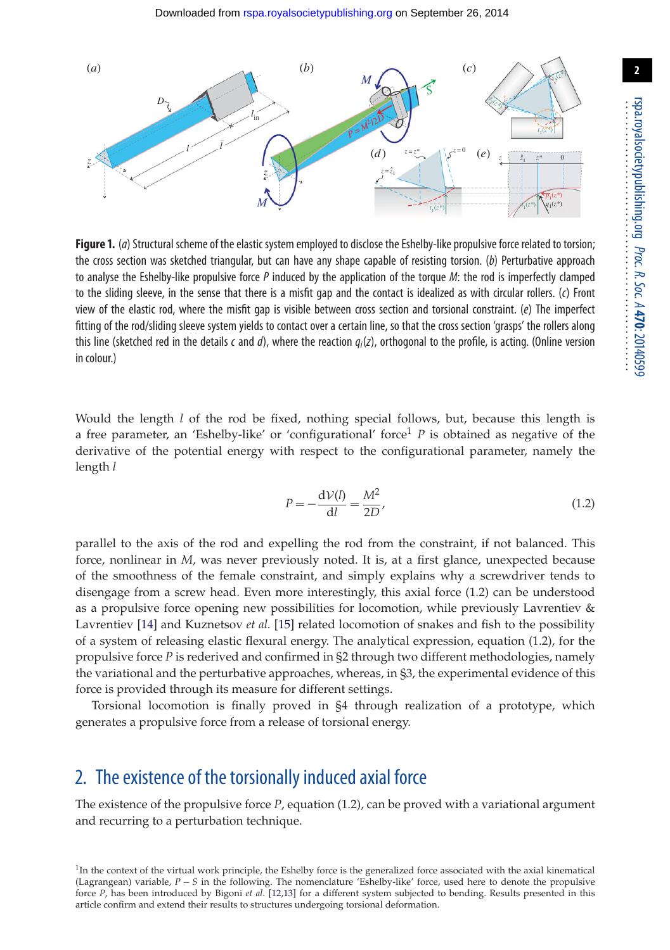

<span id="page-2-0"></span>**Figure 1.** (*a*) Structural scheme of the elastic system employed to disclose the Eshelby-like propulsive force related to torsion; the cross section was sketched triangular, but can have any shape capable of resisting torsion. (*b*) Perturbative approach to analyse the Eshelby-like propulsive force *P* induced by the application of the torque *M*: the rod is imperfectly clamped to the sliding sleeve, in the sense that there is a misfit gap and the contact is idealized as with circular rollers. (*c*) Front view of the elastic rod, where the misfit gap is visible between cross section and torsional constraint. (*e*) The imperfect fitting of the rod/sliding sleeve system yields to contact over a certain line, so that the cross section 'grasps' the rollers along this line (sketched red in the details *c* and *d*), where the reaction *qi*(*z*), orthogonal to the profile, is acting. (Online version in colour.)

Would the length *l* of the rod be fixed, nothing special follows, but, because this length is a free parameter, an 'Eshelby-like' or 'configurational' force<sup>1</sup> P is obtained as negative of the derivative of the potential energy with respect to the configurational parameter, namely the length *l*

$$
P = -\frac{\mathrm{d}\mathcal{V}(l)}{\mathrm{d}l} = \frac{M^2}{2D},\tag{1.2}
$$

parallel to the axis of the rod and expelling the rod from the constraint, if not balanced. This force, nonlinear in *M*, was never previously noted. It is, at a first glance, unexpected because of the smoothness of the female constraint, and simply explains why a screwdriver tends to disengage from a screw head. Even more interestingly, this axial force (1.2) can be understood as a propulsive force opening new possibilities for locomotion, while previously Lavrentiev & Lavrentiev [\[14\]](#page-7-4) and Kuznetsov *et al.* [\[15\]](#page-7-5) related locomotion of snakes and fish to the possibility of a system of releasing elastic flexural energy. The analytical expression, equation (1.2), for the propulsive force *P* is rederived and confirmed in §2 through two different methodologies, namely the variational and the perturbative approaches, whereas, in §3, the experimental evidence of this force is provided through its measure for different settings.

Torsional locomotion is finally proved in §4 through realization of a prototype, which generates a propulsive force from a release of torsional energy.

### 2. The existence of the torsionally induced axial force

The existence of the propulsive force *P*, equation (1.2), can be proved with a variational argument and recurring to a perturbation technique.

 $1$ In the context of the virtual work principle, the Eshelby force is the generalized force associated with the axial kinematical (Lagrangean) variable, *P* − *S* in the following. The nomenclature 'Eshelby-like' force, used here to denote the propulsive force *P*, has been introduced by Bigoni *et al.* [\[12,](#page-7-6)[13\]](#page-7-7) for a different system subjected to bending. Results presented in this article confirm and extend their results to structures undergoing torsional deformation.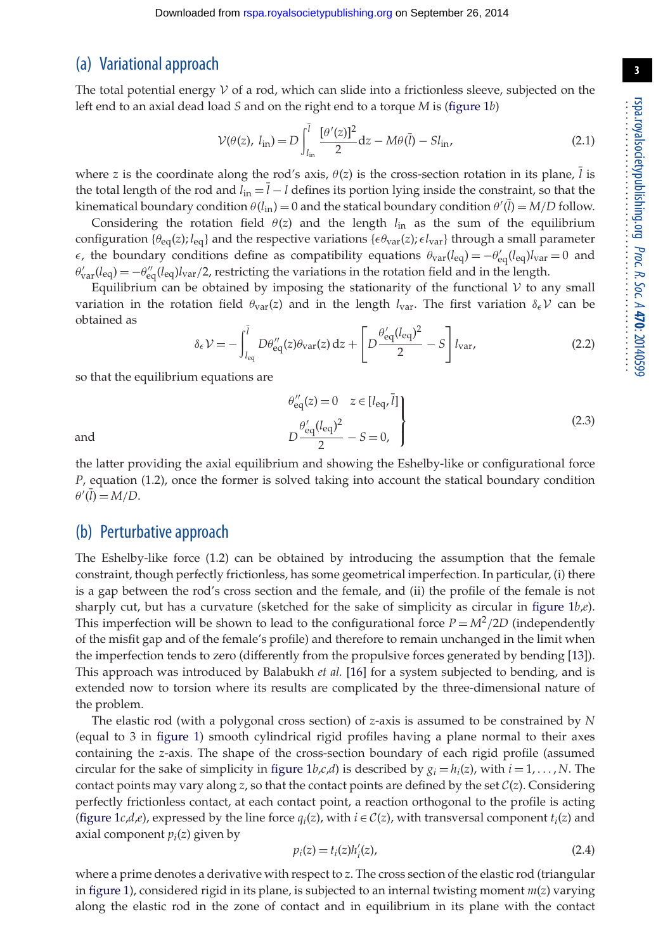**3**

#### (a) Variational approach

The total potential energy  $V$  of a rod, which can slide into a frictionless sleeve, subjected on the left end to an axial dead load *S* and on the right end to a torque *M* is [\(figure 1](#page-2-0)*b*)

$$
\mathcal{V}(\theta(z), l_{\rm in}) = D \int_{l_{\rm in}}^{\bar{l}} \frac{[\theta'(z)]^2}{2} dz - M\theta(\bar{l}) - S l_{\rm in}, \qquad (2.1)
$$

where *z* is the coordinate along the rod's axis,  $\theta(z)$  is the cross-section rotation in its plane,  $\overline{l}$  is the total length of the rod and  $l_{in} = \bar{l} - l$  defines its portion lying inside the constraint, so that the kinematical boundary condition  $\theta(l_{in}) = 0$  and the statical boundary condition  $\theta'(\bar{l}) = M/D$  follow.

Considering the rotation field  $\theta(z)$  and the length  $l_{in}$  as the sum of the equilibrium configuration  $\{\theta_{\rm eq}(z)\}$ ,  $l_{\rm eq}$  and the respective variations  $\{\epsilon\theta_{\rm var}(z)\}\epsilon l_{\rm var}\}$  through a small parameter  $\epsilon$ , the boundary conditions define as compatibility equations  $\theta_{\text{var}}(l_{\text{eq}}) = -\theta'_{\text{eq}}(l_{\text{eq}})l_{\text{var}} = 0$  and  $\theta'_{\text{var}}(l_{\text{eq}}) = -\theta''_{\text{eq}}(l_{\text{eq}})l_{\text{var}}/2$ , restricting the variations in the rotation field and in the length.

Equilibrium can be obtained by imposing the stationarity of the functional  $V$  to any small variation in the rotation field  $\theta_{\text{var}}(z)$  and in the length  $l_{\text{var}}$ . The first variation  $\delta_{\epsilon} \mathcal{V}$  can be obtained as

$$
\delta_{\epsilon} \mathcal{V} = -\int_{l_{\text{eq}}}^{\bar{l}} D\theta''_{\text{eq}}(z) \theta_{\text{var}}(z) dz + \left[ D \frac{\theta'_{\text{eq}}(l_{\text{eq}})^2}{2} - S \right] l_{\text{var}}, \tag{2.2}
$$

so that the equilibrium equations are

$$
\left\{\n\begin{aligned}\n\theta'_{\text{eq}}(z) &= 0 \quad z \in [l_{\text{eq}}, \bar{l}]\n\\
D \frac{\theta'_{\text{eq}}(l_{\text{eq}})^2}{2} - S &= 0,\n\end{aligned}\n\right\} \tag{2.3}
$$

and *D*

the latter providing the axial equilibrium and showing the Eshelby-like or configurational force *P*, equation (1.2), once the former is solved taking into account the statical boundary condition  $\theta'(\overline{l}) = M/D.$ 

#### (b) Perturbative approach

The Eshelby-like force (1.2) can be obtained by introducing the assumption that the female constraint, though perfectly frictionless, has some geometrical imperfection. In particular, (i) there is a gap between the rod's cross section and the female, and (ii) the profile of the female is not sharply cut, but has a curvature (sketched for the sake of simplicity as circular in [figure 1](#page-2-0)*b*,*e*). This imperfection will be shown to lead to the configurational force  $P = M^2/2D$  (independently of the misfit gap and of the female's profile) and therefore to remain unchanged in the limit when the imperfection tends to zero (differently from the propulsive forces generated by bending [\[13\]](#page-7-7)). This approach was introduced by Balabukh *et al.* [\[16\]](#page-7-8) for a system subjected to bending, and is extended now to torsion where its results are complicated by the three-dimensional nature of the problem.

The elastic rod (with a polygonal cross section) of *z*-axis is assumed to be constrained by *N* (equal to 3 in [figure 1\)](#page-2-0) smooth cylindrical rigid profiles having a plane normal to their axes containing the *z*-axis. The shape of the cross-section boundary of each rigid profile (assumed circular for the sake of simplicity in figure  $1b$ ,*c*,*d*) is described by  $g_i = h_i(z)$ , with  $i = 1, ..., N$ . The contact points may vary along  $z$ , so that the contact points are defined by the set  $C(z)$ . Considering perfectly frictionless contact, at each contact point, a reaction orthogonal to the profile is acting [\(figure 1](#page-2-0)*c*,*d*,*e*), expressed by the line force  $q_i(z)$ , with  $i \in C(z)$ , with transversal component  $t_i(z)$  and axial component *pi*(*z*) given by

$$
p_i(z) = t_i(z)h'_i(z),
$$
\n(2.4)

where a prime denotes a derivative with respect to *z*. The cross section of the elastic rod (triangular in [figure 1\)](#page-2-0), considered rigid in its plane, is subjected to an internal twisting moment *m*(*z*) varying along the elastic rod in the zone of contact and in equilibrium in its plane with the contact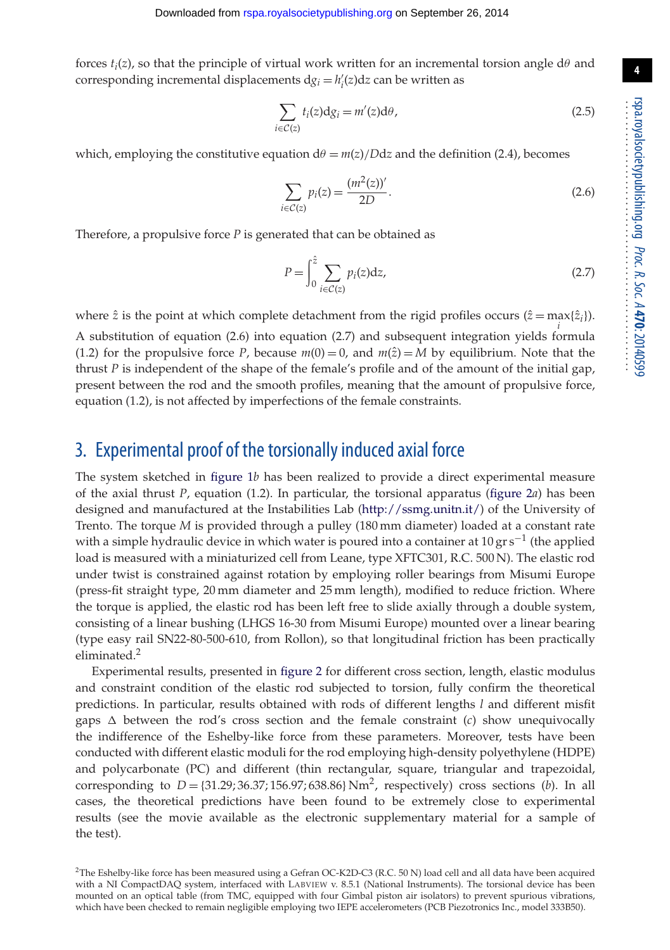forces  $t_i(z)$ , so that the principle of virtual work written for an incremental torsion angle  $d\theta$  and corresponding incremental displacements  $dg_i = h'_i(z)dz$  can be written as

$$
\sum_{i \in C(z)} t_i(z) \mathrm{d} g_i = m'(z) \mathrm{d} \theta,\tag{2.5}
$$

which, employing the constitutive equation  $d\theta = m(z)/Ddz$  and the definition (2.4), becomes

$$
\sum_{i \in C(z)} p_i(z) = \frac{(m^2(z))'}{2D}.
$$
\n(2.6)

Therefore, a propulsive force *P* is generated that can be obtained as

$$
P = \int_0^{\hat{z}} \sum_{i \in \mathcal{C}(z)} p_i(z) \mathrm{d}z,\tag{2.7}
$$

where  $\hat{z}$  is the point at which complete detachment from the rigid profiles occurs  $(\hat{z} = \max_i {\{\hat{z}_i\}})$ .

A substitution of equation (2.6) into equation (2.7) and subsequent integration yields formula (1.2) for the propulsive force *P*, because  $m(0) = 0$ , and  $m(\hat{z}) = M$  by equilibrium. Note that the thrust *P* is independent of the shape of the female's profile and of the amount of the initial gap, present between the rod and the smooth profiles, meaning that the amount of propulsive force, equation (1.2), is not affected by imperfections of the female constraints.

#### 3. Experimental proof of the torsionally induced axial force

The system sketched in [figure 1](#page-2-0)*b* has been realized to provide a direct experimental measure of the axial thrust *P*, equation (1.2). In particular, the torsional apparatus [\(figure 2](#page-5-0)*a*) has been designed and manufactured at the Instabilities Lab [\(http://ssmg.unitn.it/\)](http://ssmg.unitn.it/) of the University of Trento. The torque *M* is provided through a pulley (180 mm diameter) loaded at a constant rate with a simple hydraulic device in which water is poured into a container at 10 gr s<sup>-1</sup> (the applied load is measured with a miniaturized cell from Leane, type XFTC301, R.C. 500 N). The elastic rod under twist is constrained against rotation by employing roller bearings from Misumi Europe (press-fit straight type, 20 mm diameter and 25 mm length), modified to reduce friction. Where the torque is applied, the elastic rod has been left free to slide axially through a double system, consisting of a linear bushing (LHGS 16-30 from Misumi Europe) mounted over a linear bearing (type easy rail SN22-80-500-610, from Rollon), so that longitudinal friction has been practically eliminated.<sup>2</sup>

Experimental results, presented in [figure 2](#page-5-0) for different cross section, length, elastic modulus and constraint condition of the elastic rod subjected to torsion, fully confirm the theoretical predictions. In particular, results obtained with rods of different lengths *l* and different misfit gaps  $\Delta$  between the rod's cross section and the female constraint (*c*) show unequivocally the indifference of the Eshelby-like force from these parameters. Moreover, tests have been conducted with different elastic moduli for the rod employing high-density polyethylene (HDPE) and polycarbonate (PC) and different (thin rectangular, square, triangular and trapezoidal, corresponding to  $D = \{31.29; 36.37; 156.97; 638.86\}$  Nm<sup>2</sup>, respectively) cross sections (*b*). In all cases, the theoretical predictions have been found to be extremely close to experimental results (see the movie available as the electronic supplementary material for a sample of the test).

<sup>&</sup>lt;sup>2</sup>The Eshelby-like force has been measured using a Gefran OC-K2D-C3 (R.C. 50 N) load cell and all data have been acquired with a NI CompactDAQ system, interfaced with LABVIEW v. 8.5.1 (National Instruments). The torsional device has been mounted on an optical table (from TMC, equipped with four Gimbal piston air isolators) to prevent spurious vibrations, which have been checked to remain negligible employing two IEPE accelerometers (PCB Piezotronics Inc., model 333B50).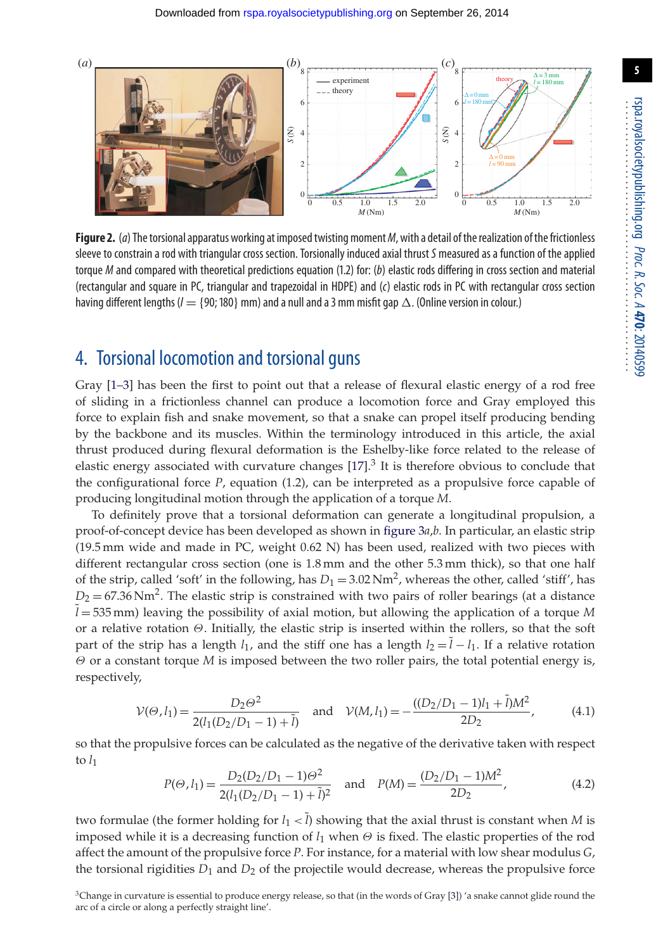

<span id="page-5-0"></span>**Figure 2.** (*a*) The torsional apparatus working at imposed twisting moment*M*, with a detail of the realization of the frictionless sleeve to constrain a rod with triangular cross section. Torsionally induced axial thrust*S* measured as a function of the applied torque *M* and compared with theoretical predictions equation (1.2) for: (*b*) elastic rods differing in cross section and material (rectangular and square in PC, triangular and trapezoidal in HDPE) and (*c*) elastic rods in PC with rectangular cross section having different lengths ( $l =$  {90; 180} mm) and a null and a 3 mm misfit gap  $\Delta$ . (Online version in colour.)

### 4. Torsional locomotion and torsional guns

Gray [\[1–](#page-7-0)[3\]](#page-7-1) has been the first to point out that a release of flexural elastic energy of a rod free of sliding in a frictionless channel can produce a locomotion force and Gray employed this force to explain fish and snake movement, so that a snake can propel itself producing bending by the backbone and its muscles. Within the terminology introduced in this article, the axial thrust produced during flexural deformation is the Eshelby-like force related to the release of elastic energy associated with curvature changes  $[17]$ <sup>3</sup> It is therefore obvious to conclude that the configurational force *P*, equation (1.2), can be interpreted as a propulsive force capable of producing longitudinal motion through the application of a torque *M*.

To definitely prove that a torsional deformation can generate a longitudinal propulsion, a proof-of-concept device has been developed as shown in [figure 3](#page-6-0)*a*,*b*. In particular, an elastic strip (19.5 mm wide and made in PC, weight 0.62 N) has been used, realized with two pieces with different rectangular cross section (one is 1.8 mm and the other 5.3 mm thick), so that one half of the strip, called 'soft' in the following, has  $D_1 = 3.02$  Nm<sup>2</sup>, whereas the other, called 'stiff', has  $D_2$  = 67.36 Nm<sup>2</sup>. The elastic strip is constrained with two pairs of roller bearings (at a distance ˜ *l* = 535 mm) leaving the possibility of axial motion, but allowing the application of a torque *M* or a relative rotation Θ. Initially, the elastic strip is inserted within the rollers, so that the soft part of the strip has a length  $l_1$ , and the stiff one has a length  $l_2 = \tilde{l} - l_1$ . If a relative rotation Θ or a constant torque *M* is imposed between the two roller pairs, the total potential energy is, respectively,

$$
\mathcal{V}(\Theta, l_1) = \frac{D_2 \Theta^2}{2(l_1 (D_2/D_1 - 1) + \tilde{l})} \quad \text{and} \quad \mathcal{V}(M, l_1) = -\frac{((D_2/D_1 - 1)l_1 + \tilde{l})M^2}{2D_2},\tag{4.1}
$$

so that the propulsive forces can be calculated as the negative of the derivative taken with respect to  $l_1$ 

$$
P(\Theta, l_1) = \frac{D_2(D_2/D_1 - 1)\Theta^2}{2(l_1(D_2/D_1 - 1) + \tilde{l})^2} \quad \text{and} \quad P(M) = \frac{(D_2/D_1 - 1)M^2}{2D_2},\tag{4.2}
$$

two formulae (the former holding for  $l_1 < \tilde{l}$ ) showing that the axial thrust is constant when *M* is imposed while it is a decreasing function of  $l_1$  when  $\Theta$  is fixed. The elastic properties of the rod affect the amount of the propulsive force *P*. For instance, for a material with low shear modulus *G*, the torsional rigidities  $D_1$  and  $D_2$  of the projectile would decrease, whereas the propulsive force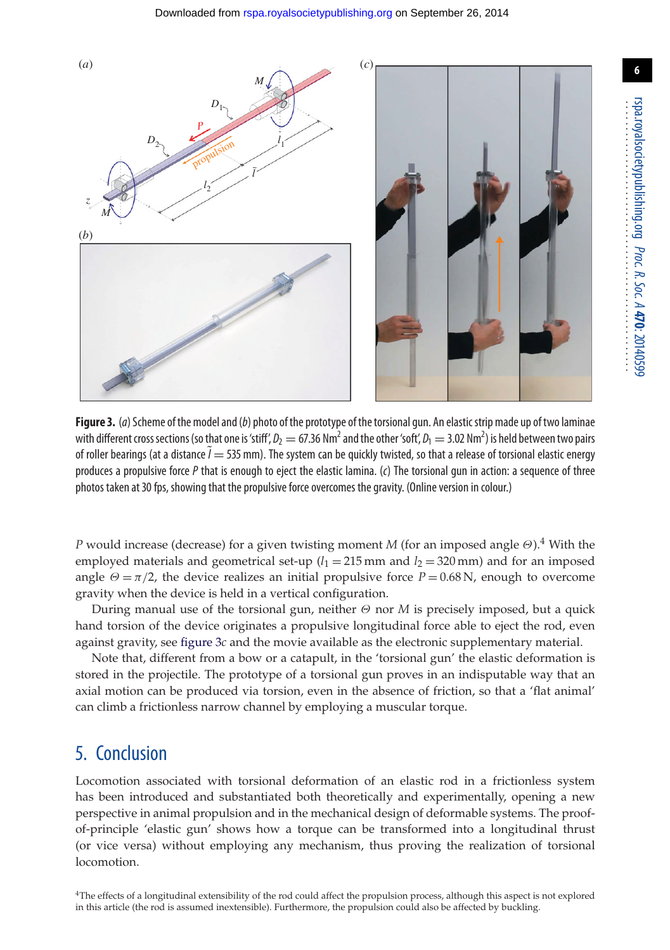(*a*) (*c*)





<span id="page-6-0"></span>**Figure 3.** (*a*) Scheme of the model and (*b*) photo of the prototype of the torsional gun. An elasticstrip made up of two laminae with different cross sections (so that one is 'stiff',  $D_2=67.36$  Nm<sup>2</sup> and the other 'soft',  $D_1=3.02$  Nm<sup>2</sup>) is held between two pairs of roller bearings (at a distance  $\tilde{l} = 535$  mm). The system can be quickly twisted, so that a release of torsional elastic energy produces a propulsive force *P* that is enough to eject the elastic lamina. (*c*) The torsional gun in action: a sequence of three photos taken at 30 fps, showing that the propulsive force overcomes the gravity. (Online version in colour.)

*P* would increase (decrease) for a given twisting moment *M* (for an imposed angle Θ).4 With the employed materials and geometrical set-up  $(l_1 = 215 \text{ mm}$  and  $l_2 = 320 \text{ mm}$ ) and for an imposed angle  $\Theta = \pi/2$ , the device realizes an initial propulsive force  $P = 0.68$  N, enough to overcome gravity when the device is held in a vertical configuration.

During manual use of the torsional gun, neither Θ nor *M* is precisely imposed, but a quick hand torsion of the device originates a propulsive longitudinal force able to eject the rod, even against gravity, see [figure 3](#page-6-0)*c* and the movie available as the electronic supplementary material.

Note that, different from a bow or a catapult, in the 'torsional gun' the elastic deformation is stored in the projectile. The prototype of a torsional gun proves in an indisputable way that an axial motion can be produced via torsion, even in the absence of friction, so that a 'flat animal' can climb a frictionless narrow channel by employing a muscular torque.

### 5. Conclusion

Locomotion associated with torsional deformation of an elastic rod in a frictionless system has been introduced and substantiated both theoretically and experimentally, opening a new perspective in animal propulsion and in the mechanical design of deformable systems. The proofof-principle 'elastic gun' shows how a torque can be transformed into a longitudinal thrust (or vice versa) without employing any mechanism, thus proving the realization of torsional locomotion.

**6**